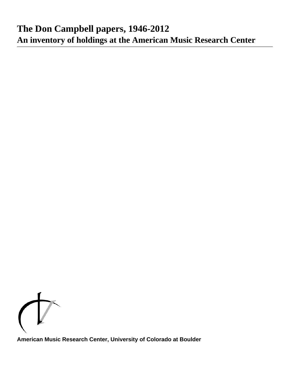

**American Music Research Center, University of Colorado at Boulder**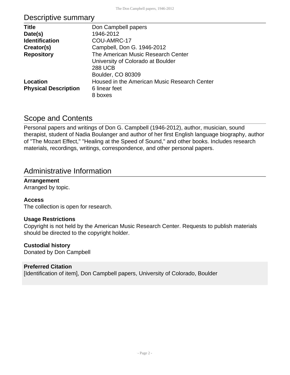# Descriptive summary

| <b>Title</b>                | Don Campbell papers                          |
|-----------------------------|----------------------------------------------|
| Date(s)                     | 1946-2012                                    |
| <b>Identification</b>       | COU-AMRC-17                                  |
| Creator(s)                  | Campbell, Don G. 1946-2012                   |
| <b>Repository</b>           | The American Music Research Center           |
|                             | University of Colorado at Boulder            |
|                             | <b>288 UCB</b>                               |
|                             | Boulder, CO 80309                            |
| Location                    | Housed in the American Music Research Center |
| <b>Physical Description</b> | 6 linear feet                                |
|                             | 8 boxes                                      |

### Scope and Contents

Personal papers and writings of Don G. Campbell (1946-2012), author, musician, sound therapist, student of Nadia Boulanger and author of her first English language biography, author of "The Mozart Effect," "Healing at the Speed of Sound," and other books. Includes research materials, recordings, writings, correspondence, and other personal papers.

### Administrative Information

### **Arrangement**

Arranged by topic.

### **Access**

The collection is open for research.

### **Usage Restrictions**

Copyright is not held by the American Music Research Center. Requests to publish materials should be directed to the copyright holder.

### **Custodial history**

Donated by Don Campbell

### **Preferred Citation**

[Identification of item], Don Campbell papers, University of Colorado, Boulder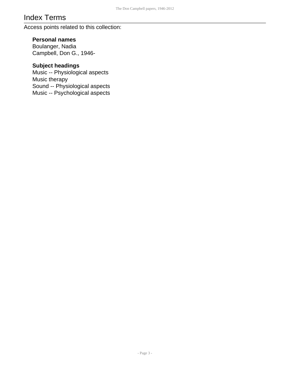# Index Terms

Access points related to this collection:

### **Personal names**

Boulanger, Nadia Campbell, Don G., 1946-

### **Subject headings**

Music -- Physiological aspects Music therapy Sound -- Physiological aspects Music -- Psychological aspects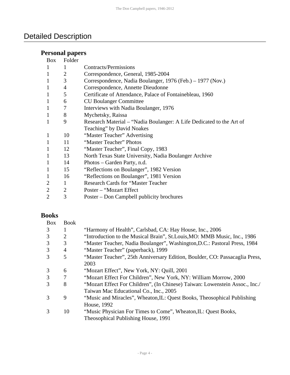# Detailed Description

# **Personal papers**

| <b>Box</b>     | Folder         |                                                                      |
|----------------|----------------|----------------------------------------------------------------------|
| $\mathbf{1}$   | 1              | Contracts/Permissions                                                |
| $\mathbf{1}$   | 2              | Correspondence, General, 1985-2004                                   |
| $\mathbf{1}$   | 3              | Correspondence, Nadia Boulanger, 1976 (Feb.) – 1977 (Nov.)           |
| $\mathbf{1}$   | 4              | Correspondence, Annette Dieudonne                                    |
| $\mathbf{1}$   | 5              | Certificate of Attendance, Palace of Fontainebleau, 1960             |
| $\mathbf{1}$   | 6              | <b>CU Boulanger Committee</b>                                        |
| $\mathbf{1}$   | 7              | Interviews with Nadia Boulanger, 1976                                |
| $\mathbf{1}$   | 8              | Mychetsky, Raissa                                                    |
| $\mathbf{1}$   | 9              | Research Material – "Nadia Boulanger: A Life Dedicated to the Art of |
|                |                | Teaching" by David Noakes                                            |
| $\mathbf{1}$   | 10             | "Master Teacher" Advertising                                         |
| $\mathbf{1}$   | 11             | "Master Teacher" Photos                                              |
| $\mathbf{1}$   | 12             | "Master Teacher", Final Copy, 1983                                   |
| $\mathbf{1}$   | 13             | North Texas State University, Nadia Boulanger Archive                |
| $\mathbf{1}$   | 14             | Photos – Garden Party, n.d.                                          |
| $\mathbf{1}$   | 15             | "Reflections on Boulanger", 1982 Version                             |
| $\mathbf{1}$   | 16             | "Reflections on Boulanger", 1981 Version                             |
| $\overline{2}$ | 1              | <b>Research Cards for "Master Teacher"</b>                           |
| $\overline{2}$ | $\overline{2}$ | Poster – "Mozart Effect"                                             |
| $\overline{2}$ | 3              | Poster – Don Campbell publicity brochures                            |

### **Books**

| <b>Box</b>    | <b>Book</b> |                                                                             |
|---------------|-------------|-----------------------------------------------------------------------------|
| 3             | 1           | "Harmony of Health", Carlsbad, CA: Hay House, Inc., 2006                    |
| 3             | 2           | "Introduction to the Musical Brain", St. Louis, MO: MMB Music, Inc., 1986   |
| 3             | 3           | "Master Teacher, Nadia Boulanger", Washington, D.C.: Pastoral Press, 1984   |
| 3             | 4           | "Master Teacher" (paperback), 1999                                          |
| $\mathcal{R}$ | 5           | "Master Teacher", 25th Anniversary Edition, Boulder, CO: Passacaglia Press, |
|               |             | 2003                                                                        |
| 3             | 6           | "Mozart Effect", New York, NY: Quill, 2001                                  |
| 3             | 7           | "Mozart Effect For Children", New York, NY: William Morrow, 2000            |
| $\mathcal{R}$ | 8           | "Mozart Effect For Children", (In Chinese) Taiwan: Lowenstein Assoc., Inc./ |
|               |             | Taiwan Mac Educational Co., Inc., 2005                                      |
| $\mathcal{R}$ | 9           | "Music and Miracles", Wheaton, IL: Quest Books, Theosophical Publishing     |
|               |             | House, 1992                                                                 |
| $\mathcal{R}$ | 10          | "Music Physician For Times to Come", Wheaton, IL: Quest Books,              |
|               |             | Theosophical Publishing House, 1991                                         |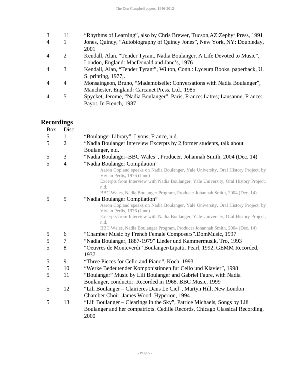| 3              | 11 | "Rhythms of Learning", also by Chris Brewer, Tucson, AZ: Zephyr Press, 1991  |
|----------------|----|------------------------------------------------------------------------------|
| $\overline{4}$ |    | Jones, Quincy, "Autobiography of Quincy Jones", New York, NY: Doubleday,     |
|                |    | 2001                                                                         |
| $\overline{4}$ | 2  | Kendall, Alan, "Tender Tyrant, Nadia Boulanger, A Life Devoted to Music",    |
|                |    | London, England: MacDonald and Jane's, 1976                                  |
| 4              | 3  | Kendall, Alan, "Tender Tyrant", Wilton, Conn.: Lyceum Books. paperback, U.   |
|                |    | S. printing, 1977,.                                                          |
| $\overline{A}$ | 4  | Monsaingeon, Bruno, "Mademoiselle: Conversations with Nadia Boulanger",      |
|                |    | Manchester, England: Carcanet Press, Ltd., 1985                              |
| $\overline{A}$ | 5  | Spycket, Jerome, "Nadia Boulanger", Paris, France: Lattes; Lausanne, France: |
|                |    | Payot. In French, 1987                                                       |
|                |    |                                                                              |

## **Recordings**

| <b>Box</b> | Disc                |                                                                                                                                          |
|------------|---------------------|------------------------------------------------------------------------------------------------------------------------------------------|
| 5          | 1                   | "Boulanger Library", Lyons, France, n.d.                                                                                                 |
| 5          | $\overline{2}$      | "Nadia Boulanger Interview Excerpts by 2 former students, talk about                                                                     |
|            |                     | Boulanger, n.d.                                                                                                                          |
| 5<br>5     | 3<br>$\overline{4}$ | "Nadia Boulanger-BBC Wales", Producer, Johannah Smith, 2004 (Dec. 14)<br>"Nadia Boulanger Compilation"                                   |
|            |                     | Aaron Copland speaks on Nadia Boulanger, Yale University, Oral History Project, by<br>Vivian Perlis, 1976 (June)                         |
|            |                     | Excerpts from Interview with Nadia Boulanger, Yale University, Oral History Project,<br>n.d.                                             |
|            |                     | BBC Wales, Nadia Boulanger Program, Producer Johannah Smith, 2004 (Dec. 14)                                                              |
| 5          | 5                   | "Nadia Boulanger Compilation"                                                                                                            |
|            |                     | Aaron Copland speaks on Nadia Boulanger, Yale University, Oral History Project, by<br>Vivian Perlis, 1976 (June)                         |
|            |                     | Excerpts from Interview with Nadia Boulanger, Yale University, Oral History Project,                                                     |
|            |                     | n.d.                                                                                                                                     |
| 5          | 6                   | BBC Wales, Nadia Boulanger Program, Producer Johannah Smith, 2004 (Dec. 14)<br>"Chamber Music by French Female Composers".DomMusic, 1997 |
| $\sqrt{5}$ | 7                   | "Nadia Boulanger, 1887-1979" Lieder und Kammermusik. Tro, 1993                                                                           |
| 5          | 8                   |                                                                                                                                          |
|            |                     | "Oeuvres de Monteverdi" Boulanger/Lipatti. Pearl, 1992, GEMM Recorded,<br>1937                                                           |
| 5          | 9                   | "Three Pieces for Cello and Piano", Koch, 1993                                                                                           |
| 5          | 10                  | "Werke Bedeutender Komponistinnen fur Cello und Klavier", 1998                                                                           |
| 5          | 11                  | "Boulanger" Music by Lili Boulanger and Gabriel Faure, with Nadia                                                                        |
|            |                     | Boulanger, conductor. Recorded in 1968. BBC Music, 1999                                                                                  |
| 5          | 12                  | "Lili Boulanger - Clairieres Dans Le Ciel", Martyn Hill, New London                                                                      |
|            |                     | Chamber Choir, James Wood. Hyperion, 1994                                                                                                |
| 5          | 13                  | "Lili Boulanger – Clearings in the Sky", Patrice Michaels, Songs by Lili                                                                 |
|            |                     | Boulanger and her compatriots. Cedille Records, Chicago Classical Recording,                                                             |
|            |                     | 2000                                                                                                                                     |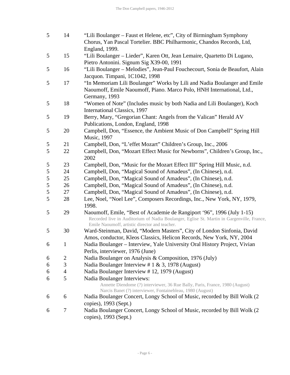| 5             | 14             | "Lili Boulanger – Faust et Helene, etc", City of Birmingham Symphony                                                                                                                                                  |
|---------------|----------------|-----------------------------------------------------------------------------------------------------------------------------------------------------------------------------------------------------------------------|
|               |                | Chorus, Yan Pascal Tortelier. BBC Philharmonic, Chandos Records, Ltd,                                                                                                                                                 |
|               |                | England, 1999.                                                                                                                                                                                                        |
| 5             | 15             | "Lili Boulanger - Lieder", Karen Ott, Jean Lemaire, Quartetto Di Lugano,                                                                                                                                              |
|               |                | Pietro Antonini. Signum Sig X39-00, 1991                                                                                                                                                                              |
| 5             | 16             | "Lili Boulanger - Melodies", Jean-Paul Fouchecourt, Sonia de Beaufort, Alain<br>Jacquon. Timpani, 1C1042, 1998                                                                                                        |
| 5             | 17             | "In Memoriam Lili Boulanger" Works by Lili and Nadia Boulanger and Emile<br>Naoumoff, Emile Naoumoff, Piano. Marco Polo, HNH International, Ltd.,<br>Germany, 1993                                                    |
| 5             | 18             | "Women of Note" (Includes music by both Nadia and Lili Boulanger), Koch<br>International Classics, 1997                                                                                                               |
| 5             | 19             | Berry, Mary, "Gregorian Chant: Angels from the Valican" Herald AV<br>Publications, London, England, 1998                                                                                                              |
| 5             | 20             | Campbell, Don, "Essence, the Ambient Music of Don Campbell" Spring Hill<br><b>Music</b> , 1997                                                                                                                        |
| 5             | 21             | Campbell, Don, "L'effet Mozart" Children's Group, Inc., 2006                                                                                                                                                          |
| 5             | 22             | Campbell, Don, "Mozart Effect Music for Newborns", Children's Group, Inc.,<br>2002                                                                                                                                    |
| 5             | 23             | Campbell, Don, "Music for the Mozart Effect III" Spring Hill Music, n.d.                                                                                                                                              |
| $\sqrt{5}$    | 24             | Campbell, Don, "Magical Sound of Amadeus", (In Chinese), n.d.                                                                                                                                                         |
| $\mathfrak s$ | 25             | Campbell, Don, "Magical Sound of Amadeus", (In Chinese), n.d.                                                                                                                                                         |
| $\sqrt{5}$    | 26             | Campbell, Don, "Magical Sound of Amadeus", (In Chinese), n.d.                                                                                                                                                         |
| 5             | 27             | Campbell, Don, "Magical Sound of Amadeus", (In Chinese), n.d.                                                                                                                                                         |
| 5             | 28             | Lee, Noel, "Noel Lee", Composers Recordings, Inc., New York, NY, 1979,<br>1998.                                                                                                                                       |
| 5             | 29             | Naoumoff, Emile, "Best of Academie de Rangiport '96", 1996 (July 1-15)<br>Recorded live in Auditorium of Nadia Boulanger, Eglise St. Martin in Gargenville, France,<br>Emile Naoumoff, artistic director and teacher. |
| 5             | 30             | Ward-Steinman, David, "Modern Masters", City of London Sinfonia, David                                                                                                                                                |
|               |                | Amos, conductor, Kleos Classics, Helicon Records, New York, NY, 2004                                                                                                                                                  |
| 6             | $\mathbf{1}$   | Nadia Boulanger - Interview, Yale University Oral History Project, Vivian                                                                                                                                             |
|               |                | Perlis, interviewer, 1976 (June)                                                                                                                                                                                      |
| 6             | $\overline{c}$ | Nadia Boulanger on Analysis & Composition, 1976 (July)                                                                                                                                                                |
| 6             | 3              | Nadia Boulanger Interview # $1 \& 3$ , 1978 (August)                                                                                                                                                                  |
| 6             | $\overline{4}$ | Nadia Boulanger Interview #12, 1979 (August)                                                                                                                                                                          |
| 6             | 5              | Nadia Boulanger Interviews:                                                                                                                                                                                           |
|               |                | Annette Diendome (?) interviewer, 36 Rue Bally, Paris, France, 1980 (August)<br>Narcis Banet (?) interviewer, Fontainebleau, 1980 (August)                                                                            |
| 6             | 6              | Nadia Boulanger Concert, Longy School of Music, recorded by Bill Wolk (2)<br>copies), 1993 (Sept.)                                                                                                                    |
| 6             | 7              | Nadia Boulanger Concert, Longy School of Music, recorded by Bill Wolk (2<br>copies), 1993 (Sept.)                                                                                                                     |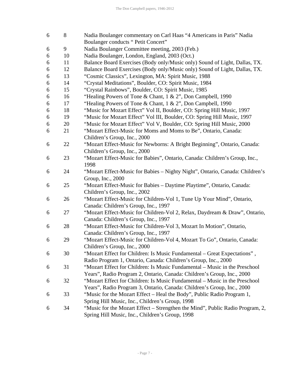| 6 | 8  | Nadia Boulanger commentary on Carl Haas "4 Americans in Paris" Nadia          |
|---|----|-------------------------------------------------------------------------------|
|   |    | Boulanger conducts "Petit Concert"                                            |
| 6 | 9  | Nadia Boulanger Committee meeting, 2003 (Feb.)                                |
| 6 | 10 | Nadia Boulanger, London, England, 2003 (Oct.)                                 |
| 6 | 11 | Balance Board Exercises (Body only/Music only) Sound of Light, Dallas, TX.    |
| 6 | 12 | Balance Board Exercises (Body only/Music only) Sound of Light, Dallas, TX.    |
| 6 | 13 | "Cosmic Classics", Lexington, MA: Spirit Music, 1988                          |
| 6 | 14 | "Crystal Meditations", Boulder, CO: Spirit Music, 1984                        |
| 6 | 15 | "Crystal Rainbows", Boulder, CO: Spirit Music, 1985                           |
| 6 | 16 | "Healing Powers of Tone & Chant, 1 & 2", Don Campbell, 1990                   |
| 6 | 17 | "Healing Powers of Tone & Chant, 1 & 2", Don Campbell, 1990                   |
| 6 | 18 | "Music for Mozart Effect" Vol II, Boulder, CO: Spring Hill Music, 1997        |
| 6 | 19 | "Music for Mozart Effect" Vol III, Boulder, CO: Spring Hill Music, 1997       |
| 6 | 20 | "Music for Mozart Effect" Vol V, Boulder, CO: Spring Hill Music, 2000         |
| 6 | 21 | "Mozart Effect-Music for Moms and Moms to Be", Ontario, Canada:               |
|   |    | Children's Group, Inc., 2000                                                  |
| 6 | 22 | "Mozart Effect-Music for Newborns: A Bright Beginning", Ontario, Canada:      |
|   |    | Children's Group, Inc., 2000                                                  |
| 6 | 23 | "Mozart Effect-Music for Babies", Ontario, Canada: Children's Group, Inc.,    |
|   |    | 1998                                                                          |
| 6 | 24 | "Mozart Effect-Music for Babies - Nighty Night", Ontario, Canada: Children's  |
|   |    | Group, Inc., 2000                                                             |
| 6 | 25 | "Mozart Effect-Music for Babies - Daytime Playtime", Ontario, Canada:         |
|   |    | Children's Group, Inc., 2002                                                  |
| 6 | 26 | "Mozart Effect-Music for Children-Vol 1, Tune Up Your Mind", Ontario,         |
|   |    | Canada: Children's Group, Inc., 1997                                          |
| 6 | 27 | "Mozart Effect-Music for Children-Vol 2, Relax, Daydream & Draw", Ontario,    |
|   |    | Canada: Children's Group, Inc., 1997                                          |
| 6 | 28 | "Mozart Effect-Music for Children-Vol 3, Mozart In Motion", Ontario,          |
|   |    | Canada: Children's Group, Inc., 1997                                          |
| 6 | 29 | "Mozart Effect-Music for Children-Vol 4, Mozart To Go", Ontario, Canada:      |
|   |    | Children's Group, Inc., 2000                                                  |
| 6 | 30 | "Mozart Effect for Children: Is Music Fundamental - Great Expectations",      |
|   |    | Radio Program 1, Ontario, Canada: Children's Group, Inc., 2000                |
| 6 | 31 | "Mozart Effect for Children: Is Music Fundamental – Music in the Preschool    |
|   |    | Years", Radio Program 2, Ontario, Canada: Children's Group, Inc., 2000        |
| 6 | 32 | "Mozart Effect for Children: Is Music Fundamental – Music in the Preschool    |
|   |    | Years", Radio Program 3, Ontario, Canada: Children's Group, Inc., 2000        |
| 6 | 33 | "Music for the Mozart Effect – Heal the Body", Public Radio Program 1,        |
|   |    | Spring Hill Music, Inc., Children's Group, 1998                               |
| 6 | 34 | "Music for the Mozart Effect – Strengthen the Mind", Public Radio Program, 2, |
|   |    | Spring Hill Music, Inc., Children's Group, 1998                               |
|   |    |                                                                               |